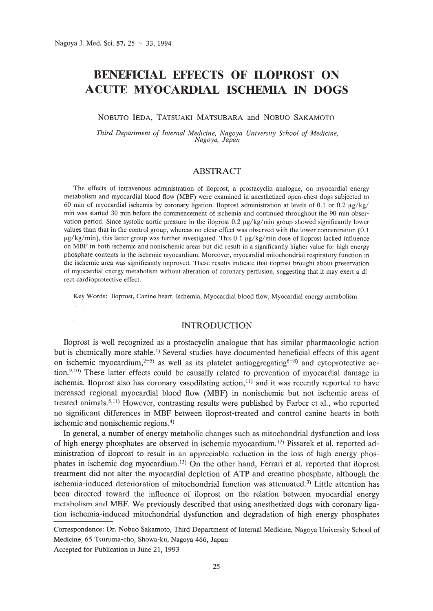# **BENEFICIAL EFFECTS OF ILOPROST ON ACUTE MYOCARDIAL ISCHEMIA IN DOGS**

#### NOBUTO IEDA, TATSUAK1 MATSUBARA and NOBUO SAKAMOTO

*Third Department of Internal Medicine, Nagoya University School of Medicine, Nagoya, Japan*

## ABSTRACT

The effects of intravenous administration of iloprost, a prostacyclin analogue, on myocardial energy metabolism and myocardial blood flow (MBF) were examined in anesthetized open-chest dogs subjected to 60 min of myocardial ischemia by coronary ligation. Iloprost administration at levels of 0.1 or 0.2  $\mu$ g/kg/ min was started 30 min before the commencement of ischemia and continued throughout the 90 min observation period. Since systolic aortic pressure in the iloprost  $0.2 \mu g/kg/min$  group showed significantly lower values than that in the control group, whereas no clear effect was observed with the lower concentration (0.1  $\mu$ g/kg/min), this latter group was further investigated. This 0.1  $\mu$ g/kg/min dose of iloprost lacked influence on MBF in both ischemic and nonischemic areas but did result in a significantly higher value for high energy phosphate contents in the ischemic myocardium. Moreover, myocardial mitochondrial respiratory function in the ischemic area was significantly improved. These results indicate that iloprost brought about preservation of myocardial energy metabolism without alteration of coronary perfusion, suggesting that it may exert a direct cardioprotective effect.

Key Words: Iloprost, Canine heart, Ischemia, Myocardial blood flow, Myocardial energy metabolism

# INTRODUCTION

Iloprost is well recognized as a prostacyclin analogue that has similar pharmacologic action but is chemically more stable. I) Several studies have documented beneficial effects of this agent on ischemic myocardium,<sup>2-5)</sup> as well as its platelet antiaggregating<sup>6-8)</sup> and cytoprotective action.<sup>9,10)</sup> These latter effects could be causally related to prevention of myocardial damage in ischemia. Iloprost also has coronary vasodilating action, $<sup>11</sup>$  and it was recently reported to have</sup> increased regional myocardial blood flow (MBF) in nonischemic but not ischemic areas of treated animals.<sup>5,11)</sup> However, contrasting results were published by Farber et al., who reported no significant differences in MBF between iloprost-treated and control canine hearts in both ischemic and nonischemic regions. 4)

**In** general, a number of energy metabolic changes such as mitochondrial dysfunction and loss of high energy phosphates are observed in ischemic myocardium. 12) Pissarek et al. reported administration of iloprost to result in an appreciable reduction in the loss of high energy phosphates in ischemic dog myocardium. 13) On the other hand, Ferrari et al. reported that iloprost treatment did not alter the myocardial depletion of A TP and creatine phosphate, although the ischemia-induced deterioration of mitochondrial function was attenuated.<sup>3)</sup> Little attention has been directed toward the influence of iloprost on the relation between myocardial energy metabolism and MBF. We previously described that using anesthetized dogs with coronary ligation ischemia-induced mitochondrial dysfunction and degradation of high energy phosphates

Correspondence: Dr. Nobuo Sakamoto, Third Department of Internal Medicine, Nagoya University School of Medicine, 65 Tsuruma-cho, Showa-ku, Nagoya 466, Japan Accepted for Publication in June 21, 1993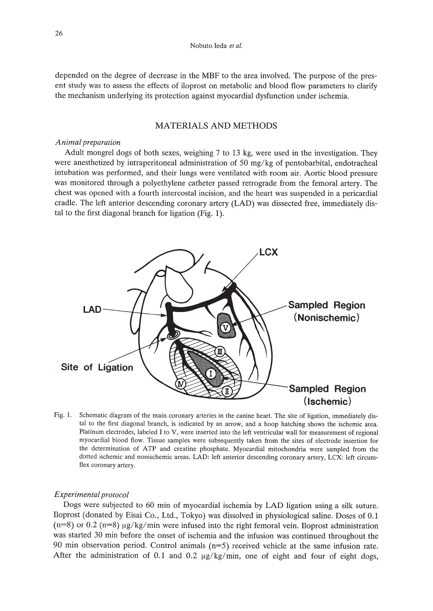depended on the degree of decrease in the MBF to the area involved. The purpose of the present study was to assess the effects of iloprost on metabolic and blood flow parameters to clarify the mechanism underlying its protection against myocardial dysfunction under ischemia.

# MATERIALS AND METHODS

#### *Animal preparation*

Adult mongrel dogs of both sexes, weighing 7 to 13 kg, were used in the investigation. They were anesthetized by intraperitoneal administration of 50 mg/kg of pentobarbital, endotracheal intubation was performed, and their lungs were ventilated with room air. Aortic blood pressure was monitored through a polyethylene catheter passed retrograde from the femoral artery. The chest was opened with a fourth intercostal incision, and the heart was suspended in a pericardial cradle. The left anterior descending coronary artery (LAD) was dissected free, immediately distal to the first diagonal branch for ligation (Fig. 1).



Fig. 1. Schematic diagram of the main coronary arteries in the canine heart. The site of ligation, immediately distal to the first diagonal branch, is indicated by an arrow, and a hoop hatching shows the ischemic area. Platinum electrodes, labeled I to V, were inserted into the left ventricular wall for measurement of regional myocardial blood flow. Tissue samples were subsequently taken from the sites of electrode insertion for the determination of ATP and creatine phosphate. Myocardial mitochondria were sampled from the dotted ischemic and nonischemic areas. LAD: left anterior descending coronary artery, LCX: left circumflex coronary artery.

## *Experimental protocol*

Dogs were subjected to 60 min of myocardial ischemia by LAD ligation using a silk suture. Iloprost (donated by Eisai Co., Ltd., Tokyo) was dissolved in physiological saline. Doses of 0.1  $(n=8)$  or 0.2 (n=8)  $\mu$ g/kg/min were infused into the right femoral vein. Iloprost administration was started 30 min before the onset of ischemia and the infusion was continued throughout the 90 min observation period. Control animals (n=5) received vehicle at the same infusion rate. After the administration of 0.1 and 0.2  $\mu$ g/kg/min, one of eight and four of eight dogs,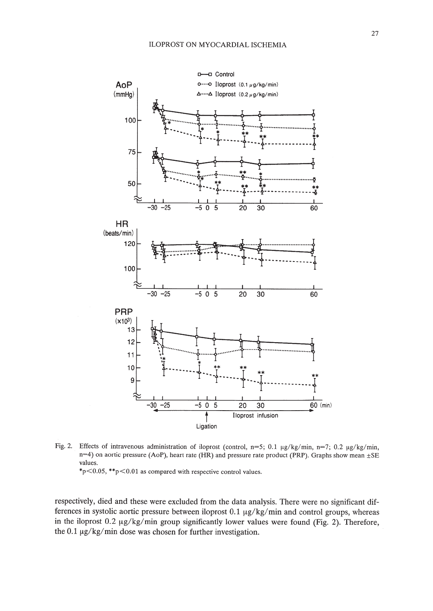

Fig. 2. Effects of intravenous administration of iloprost (control, n=5; 0.1 µg/kg/min, n=7; 0.2 µg/kg/min, n=4) on aortic pressure (AoP), heart rate (HR) and pressure rate product (PRP). Graphs show mean  $\pm$ SE values.

\* $p$ <0.05, \*\* $p$ <0.01 as compared with respective control values.

respectively, died and these were excluded from the data analysis. There were no significant differences in systolic aortic pressure between iloprost  $0.1 \mu g/kg/min$  and control groups, whereas in the iloprost  $0.2 \mu g/kg/min$  group significantly lower values were found (Fig. 2). Therefore, the  $0.1 \mu g/kg/min$  dose was chosen for further investigation.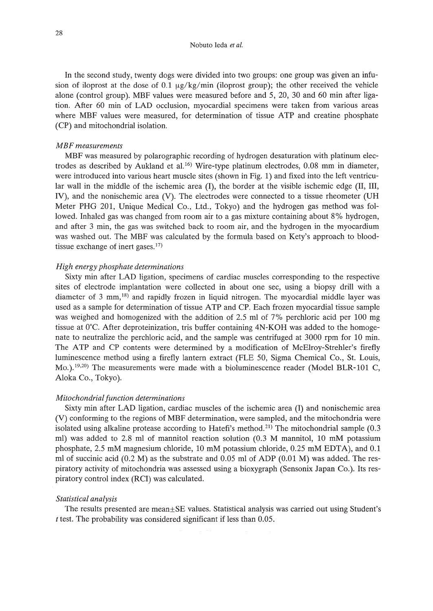#### Nobuto Ieda *et* at.

In the second study, twenty dogs were divided into two groups: one group was given an infusion of iloprost at the dose of 0.1  $\mu$ g/kg/min (iloprost group); the other received the vehicle alone (control group). MBF values were measured before and 5, 20, 30 and 60 min after ligation. After 60 min of LAD occlusion, myocardial specimens were taken from various areas where MBF values were measured, for determination of tissue ATP and creatine phosphate (CP) and mitochondrial isolation.

#### *MBF measurements*

MBF was measured by polarographic recording of hydrogen desaturation with platinum electrodes as described by Aukland et al.<sup>16)</sup> Wire-type platinum electrodes, 0.08 mm in diameter, were introduced into various heart muscle sites (shown in Fig. 1) and fixed into the left ventricular wall in the middle of the ischemic area (I), the border at the visible ischemic edge (II, III, IV), and the nonischemic area (V). The electrodes were connected to a tissue rheometer (UH Meter PHG 201, Unique Medical Co., Ltd., Tokyo) and the hydrogen gas method was followed. Inhaled gas was changed from room air to a gas mixture containing about 8% hydrogen, and after 3 min, the gas was switched back to room air, and the hydrogen in the myocardium was washed out. The MBF was calculated by the formula based on Kety's approach to bloodtissue exchange of inert gases. $17$ 

#### *High energy phosphate determinations*

Sixty min after LAD ligation, specimens of cardiac muscles corresponding to the respective sites of electrode implantation were collected in about one sec, using a biopsy drill with a diameter of 3 mm,18) and rapidly frozen in liquid nitrogen. The myocardial middle layer was used as a sample for determination of tissue ATP and CP. Each frozen myocardial tissue sample was weighed and homogenized with the addition of 2.5 ml of 7% perchloric acid per 100 mg tissue at  $0^{\circ}$ C. After deproteinization, tris buffer containing  $4N-KOH$  was added to the homogenate to neutralize the perchloric acid, and the sample was centrifuged at 3000 rpm for 10 min. The ATP and CP contents were determined by a modification of McElroy-Strehler's firefly luminescence method using a firefly lantern extract (FLE 50, Sigma Chemical Co., St. Louis, MO.).19,20) The measurements were made with a bioluminescence reader (Model BLR-101 C, Aloka Co., Tokyo).

## *Mitochondrial function determinations*

Sixty min after LAD ligation, cardiac muscles of the ischemic area (I) and nonischemic area (V) conforming to the regions of MBF determination, were sampled, and the mitochondria were isolated using alkaline protease according to Hatefi's method.<sup>21)</sup> The mitochondrial sample  $(0.3)$ ml) was added to 2.8 ml of mannitol reaction solution (0.3 M mannitol, 10 mM potassium phosphate, 2.5 mM magnesium chloride, 10 mM potassium chloride, 0.25 mM EDTA), and 0.1 ml of succinic acid  $(0.2 M)$  as the substrate and  $0.05$  ml of ADP  $(0.01 M)$  was added. The respiratory activity of mitochondria was assessed using a bioxygraph (Sensonix Japan Co.). Its respiratory control index (RCI) was calculated.

## *Statistical analysis*

The results presented are mean±SE values. Statistical analysis was carried out using Student's *t* test. The probability was considered significant if less than 0.05.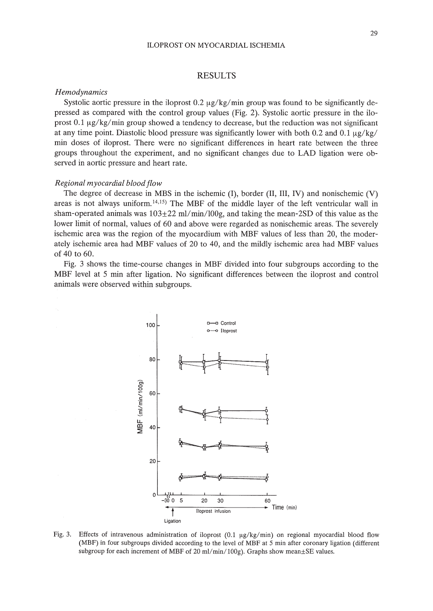#### ILOPROST ON MYOCARDIAL ISCHEMIA

#### **RESULTS**

# Hemodynamics

Systolic aortic pressure in the iloprost  $0.2 \mu g/kg/min$  group was found to be significantly depressed as compared with the control group values (Fig. 2). Systolic aortic pressure in the iloprost 0.1  $\mu$ g/kg/min group showed a tendency to decrease, but the reduction was not significant at any time point. Diastolic blood pressure was significantly lower with both 0.2 and 0.1  $\mu$ g/kg/ min doses of iloprost. There were no significant differences in heart rate between the three groups throughout the experiment, and no significant changes due to LAD ligation were observed in aortic pressure and heart rate.

#### Regional myocardial blood flow

The degree of decrease in MBS in the ischemic  $(I)$ , border  $(II, III, IV)$  and nonischemic  $(V)$ areas is not always uniform.<sup>14,15)</sup> The MBF of the middle layer of the left ventricular wall in sham-operated animals was  $103\pm 22$  ml/min/l00g, and taking the mean-2SD of this value as the lower limit of normal, values of 60 and above were regarded as nonischemic areas. The severely ischemic area was the region of the myocardium with MBF values of less than 20, the moderately ischemic area had MBF values of 20 to 40, and the mildly ischemic area had MBF values of 40 to 60.

Fig. 3 shows the time-course changes in MBF divided into four subgroups according to the MBF level at 5 min after ligation. No significant differences between the iloprost and control animals were observed within subgroups.



Fig. 3. Effects of intravenous administration of iloprost (0.1 µg/kg/min) on regional myocardial blood flow (MBF) in four subgroups divided according to the level of MBF at 5 min after coronary ligation (different subgroup for each increment of MBF of 20 ml/min/100g). Graphs show mean $\pm$ SE values.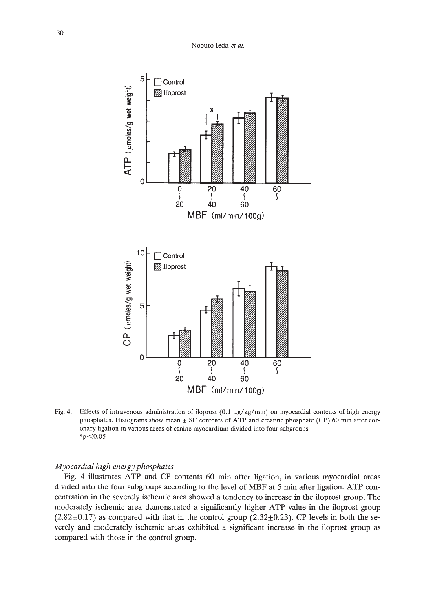

Fig. 4. Effects of intravenous administration of iloprost  $(0.1 \mu g/kg/min)$  on myocardial contents of high energy phosphates. Histograms show mean  $\pm$  SE contents of ATP and creatine phosphate (CP) 60 min after coronary ligation in various areas of canine myocardium divided into four subgroups.  $*p<0.05$ 

# *Myocardial high energy phosphates*

Fig. 4 illustrates ATP and CP contents 60 min after ligation, in various myocardial areas divided into the four subgroups according to the level of MBF at 5 min after ligation. ATP concentration in the severely ischemic area showed a tendency to increase in the iloprost group. The moderately ischemic area demonstrated a significantly higher ATP value in the iloprost group  $(2.82\pm0.17)$  as compared with that in the control group  $(2.32\pm0.23)$ . CP levels in both the severely and moderately ischemic areas exhibited a significant increase in the iloprost group as compared with those in the control group.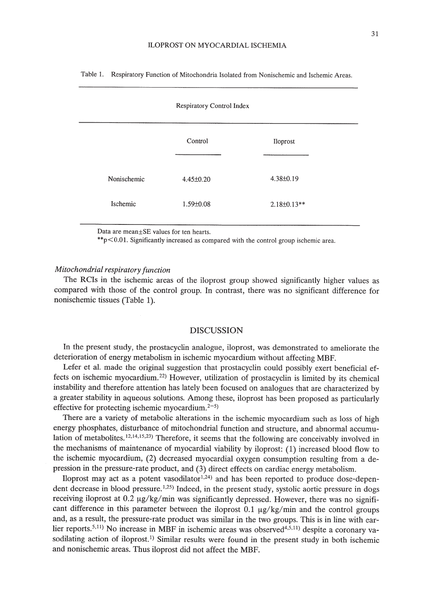| Respiratory Control Index |                 |                   |  |
|---------------------------|-----------------|-------------------|--|
|                           | Control         | Iloprost          |  |
| Nonischemic               | 4.45±0.20       | $4.38 \pm 0.19$   |  |
| Ischemic                  | $1.59 \pm 0.08$ | $2.18 \pm 0.13**$ |  |

Table 1. Respiratory Function of Mitochondria Isolated from Nonischemic and Ischemic Areas.

Data are mean±SE values for ten hearts.

 $*p<0.01$ . Significantly increased as compared with the control group ischemic area.

## *MitochondriaL respiratory junction*

The RCIs in the ischemic areas of the iloprost group showed significantly higher values as compared with those of the control group. In contrast, there was no significant difference for nonischemic tissues (Table 1).

#### DISCUSSION

In the present study, the prostacyclin analogue, iloprost, was demonstrated to ameliorate the deterioration of energy metabolism in ischemic myocardium without affecting MBF.

Lefer et al. made the original suggestion that prostacyclin could possibly exert beneficial effects on ischemic myocardium.<sup>22)</sup> However, utilization of prostacyclin is limited by its chemical instability and therefore attention has lately been focused on analogues that are characterized by a greater stability in aqueous solutions. Among these, iloprost has been proposed as particularly effective for protecting ischemic myocardium. $2-5$ )

There are a variety of metabolic alterations in the ischemic myocardium such as loss of high energy phosphates, disturbance of mitochondrial function and structure, and abnormal accumulation of metabolites. 12,14,15,23) Therefore, it seems that the following are conceivably involved in the mechanisms of maintenance of myocardial viability by iloprost: (1) increased blood flow to the ischemic myocardium, (2) decreased myocardial oxygen consumption resulting from a depression in the pressure-rate product, and (3) direct effects on cardiac energy metabolism.

Iloprost may act as a potent vasodilator<sup>1,24</sup>) and has been reported to produce dose-dependent decrease in blood pressure.<sup>1,25</sup>) Indeed, in the present study, systolic aortic pressure in dogs receiving iloprost at  $0.2 \mu g/kg/min$  was significantly depressed. However, there was no significant difference in this parameter between the iloprost  $0.1 \mu g/kg/min$  and the control groups and, as a result, the pressure-rate product was similar in the two groups. This is in line with earlier reports.<sup>5,11)</sup> No increase in MBF in ischemic areas was observed<sup>4,5,11</sup>) despite a coronary vasodilating action of iloprost.<sup>1)</sup> Similar results were found in the present study in both ischemic and nonischemic areas. Thus iloprost did not affect the MBF.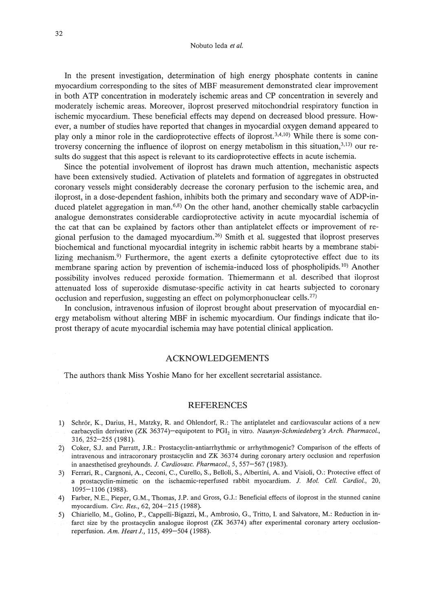#### Nobuto Ieda *et al.*

In the present investigation, determination of high energy phosphate contents in canine myocardium corresponding to the sites of MBF measurement demonstrated clear improvement in both ATP concentration in moderately ischemic areas and CP concentration in severely and moderately ischemic areas. Moreover, iloprost preserved mitochondrial respiratory function in ischemic myocardium. These beneficial effects may depend on decreased blood pressure. However, a number of studies have reported that changes in myocardial oxygen demand appeared to play only a minor role in the cardioprotective effects of iloprost.<sup>3,4,10</sup>) While there is some controversy concerning the influence of iloprost on energy metabolism in this situation, $3,13$ ) our results do suggest that this aspect is relevant to its cardioprotective effects in acute ischemia.

Since the potential involvement of iloprost has drawn much attention, mechanistic aspects have been extensively studied. Activation of platelets and formation of aggregates in obstructed coronary vessels might considerably decrease the coronary perfusion to the ischemic area, and iloprost, in a dose-dependent fashion, inhibits both the primary and secondary wave of ADP-induced platelet aggregation in man.<sup> $6,8$ </sup> On the other hand, another chemically stable carbacyclin analogue demonstrates considerable cardioprotective activity in acute myocardial ischemia of the cat that can be explained by factors other than antiplatelet effects or improvement of regional perfusion to the damaged myocardium. 26) Smith et al. suggested that iloprost preserves biochemical and functional myocardial integrity in ischemic rabbit hearts by a membrane stabilizing mechanism.<sup>9)</sup> Furthermore, the agent exerts a definite cytoprotective effect due to its membrane sparing action by prevention of ischemia-induced loss of phospholipids.<sup>10)</sup> Another possibility involves reduced peroxide formation. Thiemermann et al. described that iloprost attenuated loss of superoxide dismutase-specific activity in cat hearts subjected to coronary occlusion and reperfusion, suggesting an effect on polymorphonuclear cells.<sup>27)</sup>

In conclusion, intravenous infusion of iloprost brought about preservation of myocardial energy metabolism without altering MBF in ischemic myocardium. Our findings indicate that iloprost therapy of acute myocardial ischemia may have potential clinical application.

# ACKNOWLEDGEMENTS

The authors thank Miss Yoshie Mano for her excellent secretarial assistance.

#### REFERENCES

- 1) Schr6r, K., Darius, H., Matzky, R. and Ohlendorf, R.: The antiplatelet and cardiovascular actions of a new carbacyclin derivative (ZK 36374)-equipotent to PGI2 in vitro. *Naunyn-Schmiedeberg's Arch. Pharmacal.,* 316,252-255 (1981).
- 2) Coker, SJ. and Parratt, J.R.: Prostacyclin-antiarrhythmic or arrhythmogenic? Comparison of the effects of intravenous and intracoronary prostacyclin and ZK 36374 during coronary artery occlusion and reperfusion in anaesthetised greyhounds. J. *Cardiovasc. Pharmacal.,* 5, 557-567 (1983).
- 3) Ferrari, R., Cargnoni, A., Ceconi, c., Curello, S., Belloli, S., Albertini, A. and Visioli, 0.: Protective effect of a prostacyclin-mimetic on the ischaemic-reperfused rabbit myocardium. J. *Mal. Cell. Cardial., 20,* 1095-1106 (1988).
- 4) Farber, N.E., Pieper, G.M., Thomas, J.P. and Gross, G.J.: Beneficial effects of iloprost in the stunned canine myocardium. *Cire. Res.,* 62, 204-215 (1988).
- 5) Chiariello, M., Golino, P., Cappelli-Bigazzi, M., Ambrosio, G., Tritto, 1. and Salvatore, M.: Reduction in infarct size by the prostacyclin analogue iloprost (ZK 36374) after experimental coronary artery occlusionreperfusion. *Am. Heart* J., 115,499-504 (1988).